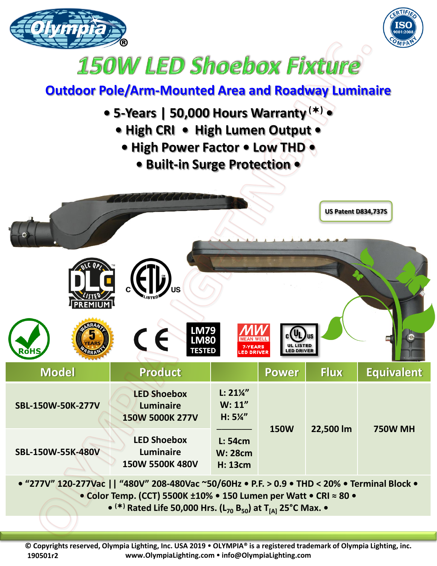



## **150W LED Shoebox Fixture**

## **Outdoor Pole/Arm-Mounted Area and Roadway Luminaire**

- **5-Years | 50,000 Hours Warranty () •**
	- **High CRI • High Lumen Output •**
		- **High Power Factor Low THD** 
			- **Built-in Surge Protection •**

| RoืHS                                                                   | $\left(\left J\right\rangle\right)_{\mathrm{us}}$<br><b>LM79<br/>LM80</b><br>$\epsilon$<br><b>TESTED</b> | <b>MEAN WELL</b><br>7-YEARS<br><b>LED DRIVER</b>   | $c(U_L)$<br>UL LISTED<br>LED DRIVER | <b>US Patent D834,737S</b> |                     |
|-------------------------------------------------------------------------|----------------------------------------------------------------------------------------------------------|----------------------------------------------------|-------------------------------------|----------------------------|---------------------|
| <b>Model</b>                                                            | Product                                                                                                  |                                                    | <b>Power</b>                        | <b>Flux</b>                | <b>Equivalent</b>   |
| SBL-150W-50K-277V                                                       | <b>LED Shoebox</b><br><b>Luminaire</b><br>150W 5000K 277V                                                | $L: 21\frac{1}{4}$<br>W: 11''<br>$H: 5\frac{1}{4}$ | <b>150W</b>                         | 22,500 lm                  | <b>750W MH</b>      |
| SBL-150W-55K-480V                                                       | <b>LED Shoebox</b><br><b>Luminaire</b><br>150W 5500K 480V                                                | L: 54cm<br><b>W: 28cm</b><br><b>H: 13cm</b>        |                                     |                            |                     |
| $l(A \rightarrow \neg A, l)$ $A \rightarrow A, A \rightarrow \neg A, l$ | $11$ $II$ $A$ $A$ $A$ $I$ $II$ $A$ $A$ $A$                                                               |                                                    |                                     |                            | $\sim$ 1 m $\sim$ 1 |

**• "277V" 120-277Vac || "480V" 208-480Vac ~50/60Hz • P.F. > 0.9 • THD < 20% • Terminal Block • • Color Temp. (CCT) 5500K ±10% • 150 Lumen per Watt • CRI ≈ 80 •**

**• () Rated Life 50,000 Hrs. (L<sup>70</sup> B50) at T[A] 25°C Max. •**

**© Copyrights reserved, Olympia Lighting, Inc. USA 2019 OLYMPIA® is a registered trademark of Olympia Lighting, inc. www.OlympiaLighting.com info@OlympiaLighting.com 190501r2**